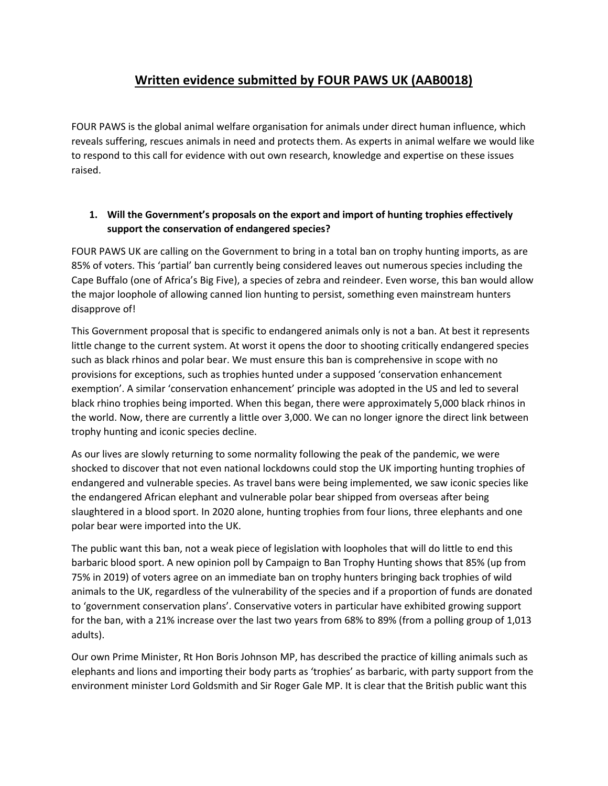# **Written evidence submitted by FOUR PAWS UK (AAB0018)**

FOUR PAWS is the global animal welfare organisation for animals under direct human influence, which reveals suffering, rescues animals in need and protects them. As experts in animal welfare we would like to respond to this call for evidence with out own research, knowledge and expertise on these issues raised.

### **1. Will the Government's proposals on the export and import of hunting trophies effectively support the conservation of endangered species?**

FOUR PAWS UK are calling on the Government to bring in a total ban on trophy hunting imports, as are 85% of voters. This 'partial' ban currently being considered leaves out numerous species including the Cape Buffalo (one of Africa's Big Five), a species of zebra and reindeer. Even worse, this ban would allow the major loophole of allowing canned lion hunting to persist, something even mainstream hunters disapprove of!

This Government proposal that is specific to endangered animals only is not a ban. At best it represents little change to the current system. At worst it opens the door to shooting critically endangered species such as black rhinos and polar bear. We must ensure this ban is comprehensive in scope with no provisions for exceptions, such as trophies hunted under a supposed 'conservation enhancement exemption'. A similar 'conservation enhancement' principle was adopted in the US and led to several black rhino trophies being imported. When this began, there were approximately 5,000 black rhinos in the world. Now, there are currently a little over 3,000. We can no longer ignore the direct link between trophy hunting and iconic species decline.

As our lives are slowly returning to some normality following the peak of the pandemic, we were shocked to discover that not even national lockdowns could stop the UK importing hunting trophies of endangered and vulnerable species. As travel bans were being implemented, we saw iconic species like the endangered African elephant and vulnerable polar bear shipped from overseas after being slaughtered in a blood sport. In 2020 alone, hunting trophies from four lions, three elephants and one polar bear were imported into the UK.

The public want this ban, not a weak piece of legislation with loopholes that will do little to end this barbaric blood sport. A new opinion poll by Campaign to Ban Trophy Hunting shows that 85% (up from 75% in 2019) of voters agree on an immediate ban on trophy hunters bringing back trophies of wild animals to the UK, regardless of the vulnerability of the species and if a proportion of funds are donated to 'government conservation plans'. Conservative voters in particular have exhibited growing support for the ban, with a 21% increase over the last two years from 68% to 89% (from a polling group of 1,013 adults).

Our own Prime Minister, Rt Hon Boris Johnson MP, has described the practice of killing animals such as elephants and lions and importing their body parts as 'trophies' as barbaric, with party support from the environment minister Lord Goldsmith and Sir Roger Gale MP. It is clear that the British public want this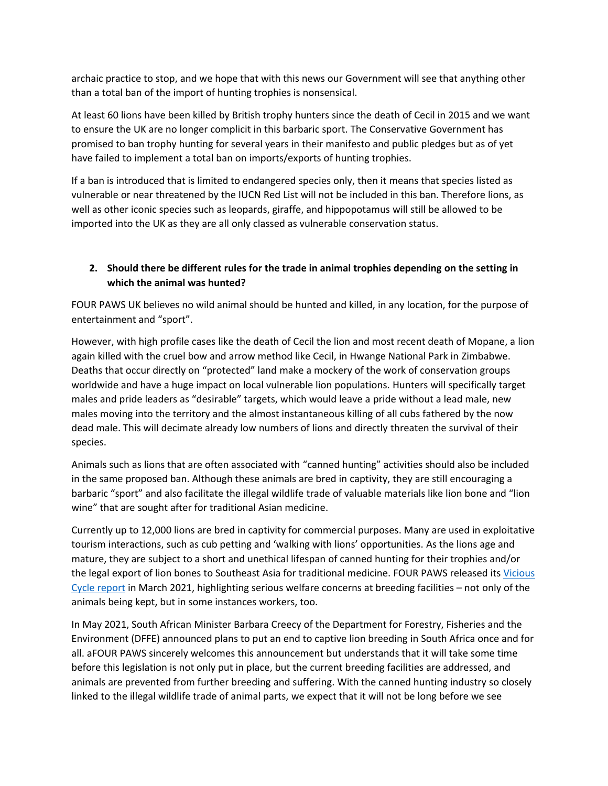archaic practice to stop, and we hope that with this news our Government will see that anything other than a total ban of the import of hunting trophies is nonsensical.

At least 60 lions have been killed by British trophy hunters since the death of Cecil in 2015 and we want to ensure the UK are no longer complicit in this barbaric sport. The Conservative Government has promised to ban trophy hunting for several years in their manifesto and public pledges but as of yet have failed to implement a total ban on imports/exports of hunting trophies.

If a ban is introduced that is limited to endangered species only, then it means that species listed as vulnerable or near threatened by the IUCN Red List will not be included in this ban. Therefore lions, as well as other iconic species such as leopards, giraffe, and hippopotamus will still be allowed to be imported into the UK as they are all only classed as vulnerable conservation status.

## **2. Should there be different rules for the trade in animal trophies depending on the setting in which the animal was hunted?**

FOUR PAWS UK believes no wild animal should be hunted and killed, in any location, for the purpose of entertainment and "sport".

However, with high profile cases like the death of Cecil the lion and most recent death of Mopane, a lion again killed with the cruel bow and arrow method like Cecil, in Hwange National Park in Zimbabwe. Deaths that occur directly on "protected" land make a mockery of the work of conservation groups worldwide and have a huge impact on local vulnerable lion populations. Hunters will specifically target males and pride leaders as "desirable" targets, which would leave a pride without a lead male, new males moving into the territory and the almost instantaneous killing of all cubs fathered by the now dead male. This will decimate already low numbers of lions and directly threaten the survival of their species.

Animals such as lions that are often associated with "canned hunting" activities should also be included in the same proposed ban. Although these animals are bred in captivity, they are still encouraging a barbaric "sport" and also facilitate the illegal wildlife trade of valuable materials like lion bone and "lion wine" that are sought after for traditional Asian medicine.

Currently up to 12,000 lions are bred in captivity for commercial purposes. Many are used in exploitative tourism interactions, such as cub petting and 'walking with lions' opportunities. As the lions age and mature, they are subject to a short and unethical lifespan of canned hunting for their trophies and/or the legal export of lion bones to Southeast Asia for traditional medicine. FOUR PAWS released its [Vicious](https://drive.google.com/file/d/1qeMMn2d-kzJqqjYA2kU8doUJ6sGRPt1f/view) [Cycle](https://drive.google.com/file/d/1qeMMn2d-kzJqqjYA2kU8doUJ6sGRPt1f/view) [report](https://drive.google.com/file/d/1qeMMn2d-kzJqqjYA2kU8doUJ6sGRPt1f/view) in March 2021, highlighting serious welfare concerns at breeding facilities – not only of the animals being kept, but in some instances workers, too.

In May 2021, South African Minister Barbara Creecy of the Department for Forestry, Fisheries and the Environment (DFFE) announced plans to put an end to captive lion breeding in South Africa once and for all. aFOUR PAWS sincerely welcomes this announcement but understands that it will take some time before this legislation is not only put in place, but the current breeding facilities are addressed, and animals are prevented from further breeding and suffering. With the canned hunting industry so closely linked to the illegal wildlife trade of animal parts, we expect that it will not be long before we see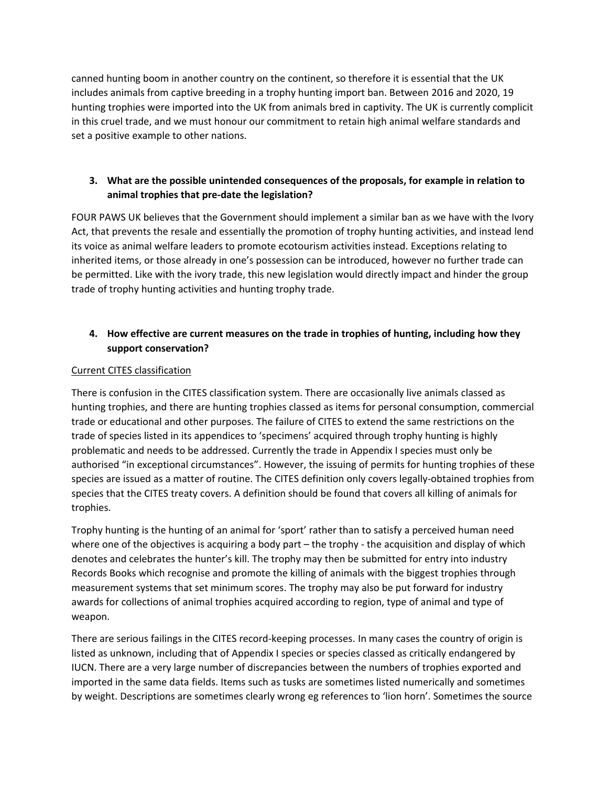canned hunting boom in another country on the continent, so therefore it is essential that the UK includes animals from captive breeding in a trophy hunting import ban. Between 2016 and 2020, 19 hunting trophies were imported into the UK from animals bred in captivity. The UK is currently complicit in this cruel trade, and we must honour our commitment to retain high animal welfare standards and set a positive example to other nations.

### **3. What are the possible unintended consequences of the proposals, for example in relation to animal trophies that pre-date the legislation?**

FOUR PAWS UK believes that the Government should implement a similar ban as we have with the Ivory Act, that prevents the resale and essentially the promotion of trophy hunting activities, and instead lend its voice as animal welfare leaders to promote ecotourism activities instead. Exceptions relating to inherited items, or those already in one's possession can be introduced, however no further trade can be permitted. Like with the ivory trade, this new legislation would directly impact and hinder the group trade of trophy hunting activities and hunting trophy trade.

## **4. How effective are current measures on the trade in trophies of hunting, including how they support conservation?**

### Current CITES classification

There is confusion in the CITES classification system. There are occasionally live animals classed as hunting trophies, and there are hunting trophies classed as items for personal consumption, commercial trade or educational and other purposes. The failure of CITES to extend the same restrictions on the trade of species listed in its appendices to 'specimens' acquired through trophy hunting is highly problematic and needs to be addressed. Currently the trade in Appendix I species must only be authorised "in exceptional circumstances". However, the issuing of permits for hunting trophies of these species are issued as a matter of routine. The CITES definition only covers legally-obtained trophies from species that the CITES treaty covers. A definition should be found that covers all killing of animals for trophies.

Trophy hunting is the hunting of an animal for 'sport' rather than to satisfy a perceived human need where one of the objectives is acquiring a body part – the trophy - the acquisition and display of which denotes and celebrates the hunter's kill. The trophy may then be submitted for entry into industry Records Books which recognise and promote the killing of animals with the biggest trophies through measurement systems that set minimum scores. The trophy may also be put forward for industry awards for collections of animal trophies acquired according to region, type of animal and type of weapon.

There are serious failings in the CITES record-keeping processes. In many cases the country of origin is listed as unknown, including that of Appendix I species or species classed as critically endangered by IUCN. There are a very large number of discrepancies between the numbers of trophies exported and imported in the same data fields. Items such as tusks are sometimes listed numerically and sometimes by weight. Descriptions are sometimes clearly wrong eg references to 'lion horn'. Sometimes the source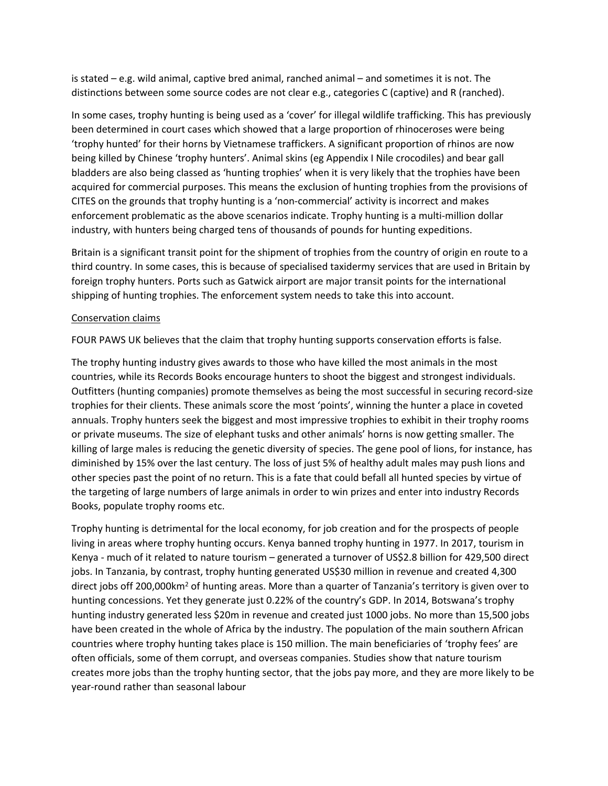is stated – e.g. wild animal, captive bred animal, ranched animal – and sometimes it is not. The distinctions between some source codes are not clear e.g., categories C (captive) and R (ranched).

In some cases, trophy hunting is being used as a 'cover' for illegal wildlife trafficking. This has previously been determined in court cases which showed that a large proportion of rhinoceroses were being 'trophy hunted' for their horns by Vietnamese traffickers. A significant proportion of rhinos are now being killed by Chinese 'trophy hunters'. Animal skins (eg Appendix I Nile crocodiles) and bear gall bladders are also being classed as 'hunting trophies' when it is very likely that the trophies have been acquired for commercial purposes. This means the exclusion of hunting trophies from the provisions of CITES on the grounds that trophy hunting is a 'non-commercial' activity is incorrect and makes enforcement problematic as the above scenarios indicate. Trophy hunting is a multi-million dollar industry, with hunters being charged tens of thousands of pounds for hunting expeditions.

Britain is a significant transit point for the shipment of trophies from the country of origin en route to a third country. In some cases, this is because of specialised taxidermy services that are used in Britain by foreign trophy hunters. Ports such as Gatwick airport are major transit points for the international shipping of hunting trophies. The enforcement system needs to take this into account.

#### Conservation claims

FOUR PAWS UK believes that the claim that trophy hunting supports conservation efforts is false.

The trophy hunting industry gives awards to those who have killed the most animals in the most countries, while its Records Books encourage hunters to shoot the biggest and strongest individuals. Outfitters (hunting companies) promote themselves as being the most successful in securing record-size trophies for their clients. These animals score the most 'points', winning the hunter a place in coveted annuals. Trophy hunters seek the biggest and most impressive trophies to exhibit in their trophy rooms or private museums. The size of elephant tusks and other animals' horns is now getting smaller. The killing of large males is reducing the genetic diversity of species. The gene pool of lions, for instance, has diminished by 15% over the last century. The loss of just 5% of healthy adult males may push lions and other species past the point of no return. This is a fate that could befall all hunted species by virtue of the targeting of large numbers of large animals in order to win prizes and enter into industry Records Books, populate trophy rooms etc.

Trophy hunting is detrimental for the local economy, for job creation and for the prospects of people living in areas where trophy hunting occurs. Kenya banned trophy hunting in 1977. In 2017, tourism in Kenya - much of it related to nature tourism – generated a turnover of US\$2.8 billion for 429,500 direct jobs. In Tanzania, by contrast, trophy hunting generated US\$30 million in revenue and created 4,300 direct jobs off 200,000km<sup>2</sup> of hunting areas. More than a quarter of Tanzania's territory is given over to hunting concessions. Yet they generate just 0.22% of the country's GDP. In 2014, Botswana's trophy hunting industry generated less \$20m in revenue and created just 1000 jobs. No more than 15,500 jobs have been created in the whole of Africa by the industry. The population of the main southern African countries where trophy hunting takes place is 150 million. The main beneficiaries of 'trophy fees' are often officials, some of them corrupt, and overseas companies. Studies show that nature tourism creates more jobs than the trophy hunting sector, that the jobs pay more, and they are more likely to be year-round rather than seasonal labour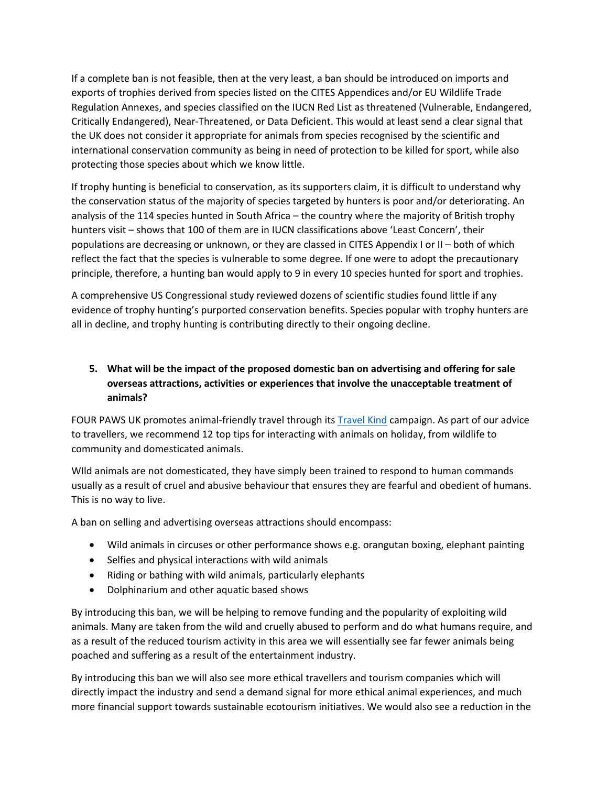If a complete ban is not feasible, then at the very least, a ban should be introduced on imports and exports of trophies derived from species listed on the CITES Appendices and/or EU Wildlife Trade Regulation Annexes, and species classified on the IUCN Red List as threatened (Vulnerable, Endangered, Critically Endangered), Near-Threatened, or Data Deficient. This would at least send a clear signal that the UK does not consider it appropriate for animals from species recognised by the scientific and international conservation community as being in need of protection to be killed for sport, while also protecting those species about which we know little.

If trophy hunting is beneficial to conservation, as its supporters claim, it is difficult to understand why the conservation status of the majority of species targeted by hunters is poor and/or deteriorating. An analysis of the 114 species hunted in South Africa – the country where the majority of British trophy hunters visit – shows that 100 of them are in IUCN classifications above 'Least Concern', their populations are decreasing or unknown, or they are classed in CITES Appendix I or II – both of which reflect the fact that the species is vulnerable to some degree. If one were to adopt the precautionary principle, therefore, a hunting ban would apply to 9 in every 10 species hunted for sport and trophies.

A comprehensive US Congressional study reviewed dozens of scientific studies found little if any evidence of trophy hunting's purported conservation benefits. Species popular with trophy hunters are all in decline, and trophy hunting is contributing directly to their ongoing decline.

# **5. What will be the impact of the proposed domestic ban on advertising and offering for sale overseas attractions, activities or experiences that involve the unacceptable treatment of animals?**

FOUR PAWS UK promotes animal-friendly travel through its **[Travel](https://www.four-paws.org.uk/campaigns-topics/campaigns/livekinder/travel-kind) [Kind](https://www.four-paws.org.uk/campaigns-topics/campaigns/livekinder/travel-kind) campaign**. As part of our advice to travellers, we recommend 12 top tips for interacting with animals on holiday, from wildlife to community and domesticated animals.

WIld animals are not domesticated, they have simply been trained to respond to human commands usually as a result of cruel and abusive behaviour that ensures they are fearful and obedient of humans. This is no way to live.

A ban on selling and advertising overseas attractions should encompass:

- Wild animals in circuses or other performance shows e.g. orangutan boxing, elephant painting
- Selfies and physical interactions with wild animals
- Riding or bathing with wild animals, particularly elephants
- Dolphinarium and other aquatic based shows

By introducing this ban, we will be helping to remove funding and the popularity of exploiting wild animals. Many are taken from the wild and cruelly abused to perform and do what humans require, and as a result of the reduced tourism activity in this area we will essentially see far fewer animals being poached and suffering as a result of the entertainment industry.

By introducing this ban we will also see more ethical travellers and tourism companies which will directly impact the industry and send a demand signal for more ethical animal experiences, and much more financial support towards sustainable ecotourism initiatives. We would also see a reduction in the